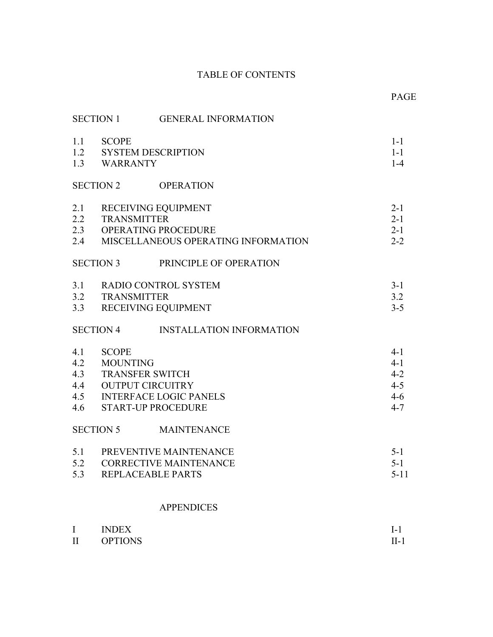# TABLE OF CONTENTS

PAGE **PAGE** 

|                                 | <b>SECTION 1</b>                | <b>GENERAL INFORMATION</b>                                                                                   |                                                                |
|---------------------------------|---------------------------------|--------------------------------------------------------------------------------------------------------------|----------------------------------------------------------------|
|                                 | 1.1 SCOPE<br>1.3 WARRANTY       | 1.2 SYSTEM DESCRIPTION                                                                                       | $1-1$<br>$1 - 1$<br>$1 - 4$                                    |
|                                 | <b>SECTION 2</b>                | <b>OPERATION</b>                                                                                             |                                                                |
| 2.1<br>2.2                      | <b>TRANSMITTER</b>              | RECEIVING EQUIPMENT<br>2.3 OPERATING PROCEDURE<br>2.4 MISCELLANEOUS OPERATING INFORMATION                    | $2 - 1$<br>$2 - 1$<br>$2 - 1$<br>$2 - 2$                       |
|                                 | <b>SECTION 3</b>                | PRINCIPLE OF OPERATION                                                                                       |                                                                |
| 3.1<br>3.3                      | 3.2 TRANSMITTER                 | RADIO CONTROL SYSTEM<br>RECEIVING EQUIPMENT                                                                  | $3 - 1$<br>3.2<br>$3 - 5$                                      |
|                                 | <b>SECTION 4</b>                | <b>INSTALLATION INFORMATION</b>                                                                              |                                                                |
| 4.1<br>4.2<br>4.3<br>4.4<br>4.6 | <b>SCOPE</b><br><b>MOUNTING</b> | <b>TRANSFER SWITCH</b><br><b>OUTPUT CIRCUITRY</b><br>4.5 INTERFACE LOGIC PANELS<br><b>START-UP PROCEDURE</b> | $4 - 1$<br>$4 - 1$<br>$4 - 2$<br>$4 - 5$<br>$4 - 6$<br>$4 - 7$ |
|                                 | SECTION 5                       | <b>MAINTENANCE</b>                                                                                           |                                                                |
| 5.1<br>5.2<br>5.3               |                                 | PREVENTIVE MAINTENANCE<br><b>CORRECTIVE MAINTENANCE</b><br>REPLACEABLE PARTS                                 | $5 - 1$<br>$5 - 1$<br>$5 - 11$                                 |
|                                 |                                 | <b>APPENDICES</b>                                                                                            |                                                                |
| $\bf{I}$<br>$\mathbf{I}$        | <b>INDEX</b><br><b>OPTIONS</b>  |                                                                                                              | $I-1$<br>$II-1$                                                |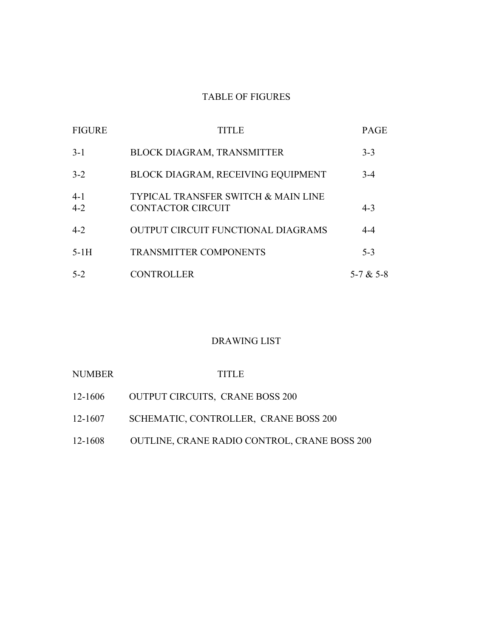# TABLE OF FIGURES

| <b>FIGURE</b>    | TITLE                                                                      | <b>PAGE</b> |
|------------------|----------------------------------------------------------------------------|-------------|
| $3-1$            | BLOCK DIAGRAM, TRANSMITTER                                                 | $3 - 3$     |
| $3 - 2$          | BLOCK DIAGRAM, RECEIVING EQUIPMENT                                         | $3-4$       |
| $4-1$<br>$4 - 2$ | <b>TYPICAL TRANSFER SWITCH &amp; MAIN LINE</b><br><b>CONTACTOR CIRCUIT</b> | $4 - 3$     |
| $4 - 2$          | <b>OUTPUT CIRCUIT FUNCTIONAL DIAGRAMS</b>                                  | $4 - 4$     |
| $5-1H$           | <b>TRANSMITTER COMPONENTS</b>                                              | $5 - 3$     |
| $5-2$            | <b>CONTROLLER</b>                                                          | 5-7 & 5-8   |

# DRAWING LIST

| <b>NUMBER</b> | <b>TITLE</b>                                 |
|---------------|----------------------------------------------|
| 12-1606       | <b>OUTPUT CIRCUITS, CRANE BOSS 200</b>       |
| 12-1607       | SCHEMATIC, CONTROLLER, CRANE BOSS 200        |
| 12-1608       | OUTLINE, CRANE RADIO CONTROL, CRANE BOSS 200 |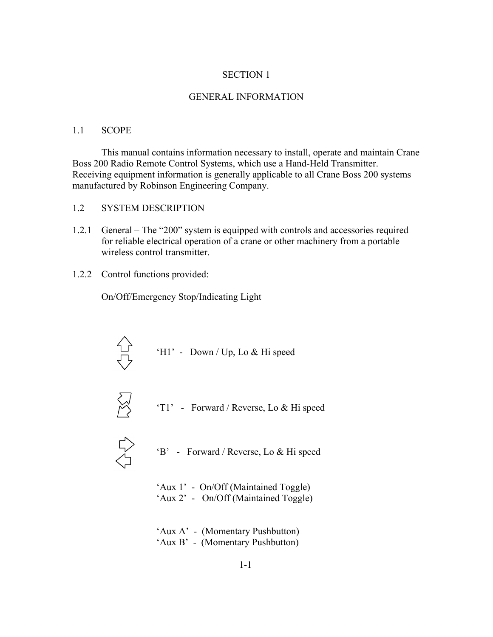#### SECTION 1

#### GENERAL INFORMATION

#### 1.1 SCOPE

This manual contains information necessary to install, operate and maintain Crane Boss 200 Radio Remote Control Systems, which use a Hand-Held Transmitter. Receiving equipment information is generally applicable to all Crane Boss 200 systems manufactured by Robinson Engineering Company.

- 1.2 SYSTEM DESCRIPTION
- 1.2.1 General  $-$  The  $\degree$ 200° system is equipped with controls and accessories required for reliable electrical operation of a crane or other machinery from a portable wireless control transmitter.
- 1.2.2 Control functions provided:

On/Off/Emergency Stop/Indicating Light





'T1' - Forward / Reverse, Lo  $&$  Hi speed



- ëBí Forward / Reverse, Lo & Hi speed
- 'Aux 1' On/Off (Maintained Toggle) 'Aux 2' - On/Off (Maintained Toggle)
- 'Aux A' (Momentary Pushbutton) 'Aux B' - (Momentary Pushbutton)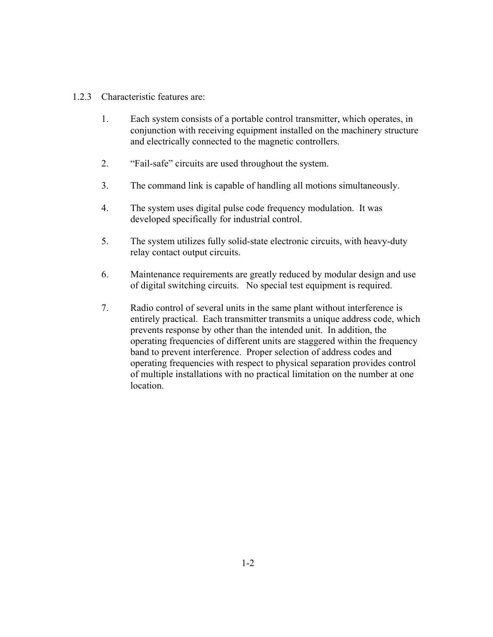## 1.2.3 Characteristic features are:

- 1. Each system consists of a portable control transmitter, which operates, in conjunction with receiving equipment installed on the machinery structure and electrically connected to the magnetic controllers.
- 2. *"Fail-safe"* circuits are used throughout the system.
- 3. The command link is capable of handling all motions simultaneously.
- 4. The system uses digital pulse code frequency modulation. It was developed specifically for industrial control.
- 5. The system utilizes fully solid-state electronic circuits, with heavy-duty relay contact output circuits.
- 6. Maintenance requirements are greatly reduced by modular design and use of digital switching circuits. No special test equipment is required.
- 7. Radio control of several units in the same plant without interference is entirely practical. Each transmitter transmits a unique address code, which prevents response by other than the intended unit. In addition, the operating frequencies of different units are staggered within the frequency band to prevent interference. Proper selection of address codes and operating frequencies with respect to physical separation provides control of multiple installations with no practical limitation on the number at one location.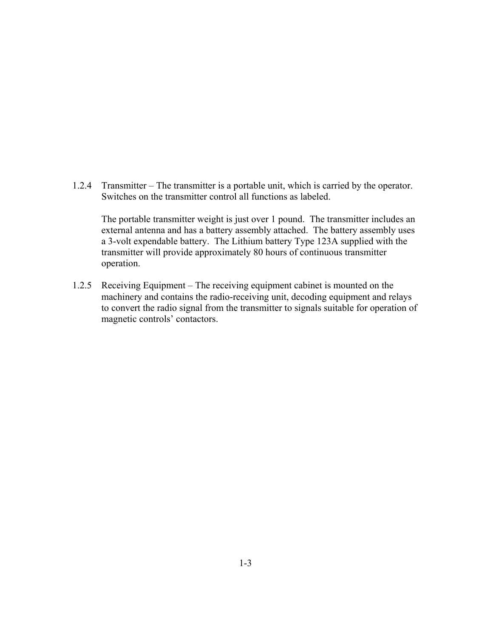1.2.4 Transmitter – The transmitter is a portable unit, which is carried by the operator. Switches on the transmitter control all functions as labeled.

The portable transmitter weight is just over 1 pound. The transmitter includes an external antenna and has a battery assembly attached. The battery assembly uses a 3-volt expendable battery. The Lithium battery Type 123A supplied with the transmitter will provide approximately 80 hours of continuous transmitter operation.

1.2.5 Receiving Equipment – The receiving equipment cabinet is mounted on the machinery and contains the radio-receiving unit, decoding equipment and relays to convert the radio signal from the transmitter to signals suitable for operation of magnetic controls' contactors.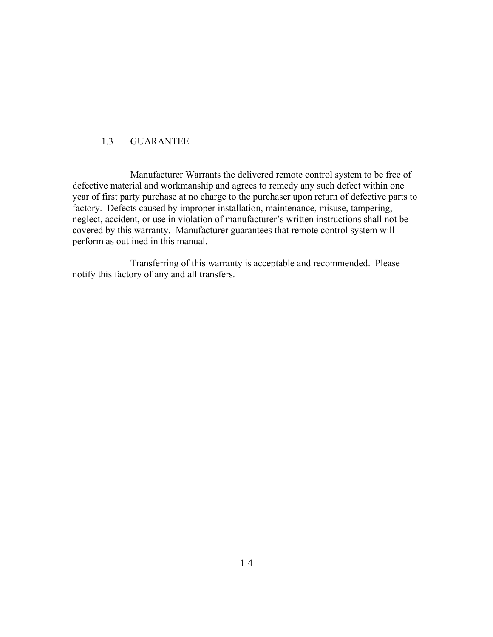# 1.3 GUARANTEE

 Manufacturer Warrants the delivered remote control system to be free of defective material and workmanship and agrees to remedy any such defect within one year of first party purchase at no charge to the purchaser upon return of defective parts to factory. Defects caused by improper installation, maintenance, misuse, tampering, neglect, accident, or use in violation of manufacturer's written instructions shall not be covered by this warranty. Manufacturer guarantees that remote control system will perform as outlined in this manual.

 Transferring of this warranty is acceptable and recommended. Please notify this factory of any and all transfers.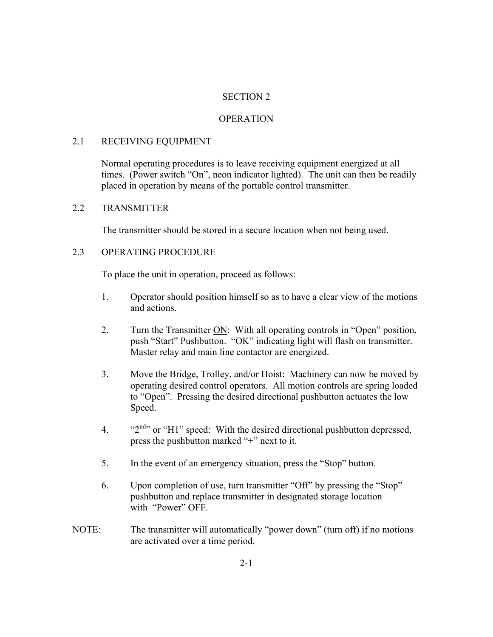# SECTION 2

# **OPERATION**

# 2.1 RECEIVING EQUIPMENT

Normal operating procedures is to leave receiving equipment energized at all times. (Power switch "On", neon indicator lighted). The unit can then be readily placed in operation by means of the portable control transmitter.

## 2.2 TRANSMITTER

The transmitter should be stored in a secure location when not being used.

# 2.3 OPERATING PROCEDURE

To place the unit in operation, proceed as follows:

- 1. Operator should position himself so as to have a clear view of the motions and actions.
- 2. Turn the Transmitter ON: With all operating controls in "Open" position, push "Start" Pushbutton. "OK" indicating light will flash on transmitter. Master relay and main line contactor are energized.
- 3. Move the Bridge, Trolley, and/or Hoist: Machinery can now be moved by operating desired control operators. All motion controls are spring loaded to "Open". Pressing the desired directional pushbutton actuates the low Speed.
- 4.  $\frac{42^{nd}}{n}$  or "H1" speed: With the desired directional pushbutton depressed, press the pushbutton marked  $4 + 1$  next to it.
- 5. In the event of an emergency situation, press the "Stop" button.
- 6. Upon completion of use, turn transmitter "Off" by pressing the "Stop" pushbutton and replace transmitter in designated storage location with "Power" OFF.
- NOTE: The transmitter will automatically "power down" (turn off) if no motions are activated over a time period.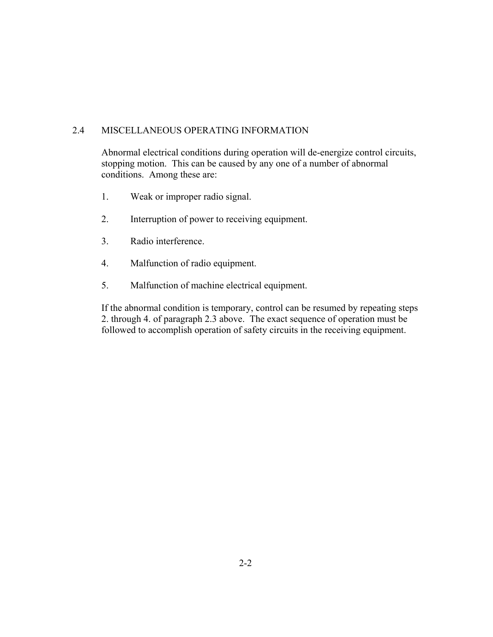# 2.4 MISCELLANEOUS OPERATING INFORMATION

Abnormal electrical conditions during operation will de-energize control circuits, stopping motion. This can be caused by any one of a number of abnormal conditions. Among these are:

- 1. Weak or improper radio signal.
- 2. Interruption of power to receiving equipment.
- 3. Radio interference.
- 4. Malfunction of radio equipment.
- 5. Malfunction of machine electrical equipment.

If the abnormal condition is temporary, control can be resumed by repeating steps 2. through 4. of paragraph 2.3 above. The exact sequence of operation must be followed to accomplish operation of safety circuits in the receiving equipment.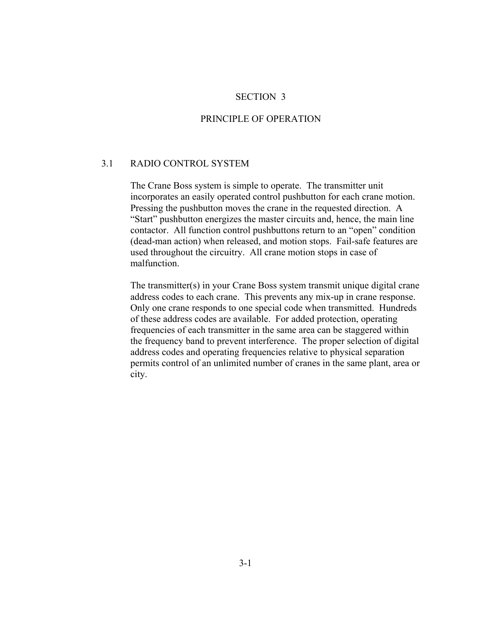#### SECTION 3

#### PRINCIPLE OF OPERATION

#### 3.1 RADIO CONTROL SYSTEM

The Crane Boss system is simple to operate. The transmitter unit incorporates an easily operated control pushbutton for each crane motion. Pressing the pushbutton moves the crane in the requested direction. A "Start" pushbutton energizes the master circuits and, hence, the main line contactor. All function control pushbuttons return to an "open" condition (dead-man action) when released, and motion stops. Fail-safe features are used throughout the circuitry. All crane motion stops in case of malfunction.

The transmitter(s) in your Crane Boss system transmit unique digital crane address codes to each crane. This prevents any mix-up in crane response. Only one crane responds to one special code when transmitted. Hundreds of these address codes are available. For added protection, operating frequencies of each transmitter in the same area can be staggered within the frequency band to prevent interference. The proper selection of digital address codes and operating frequencies relative to physical separation permits control of an unlimited number of cranes in the same plant, area or city.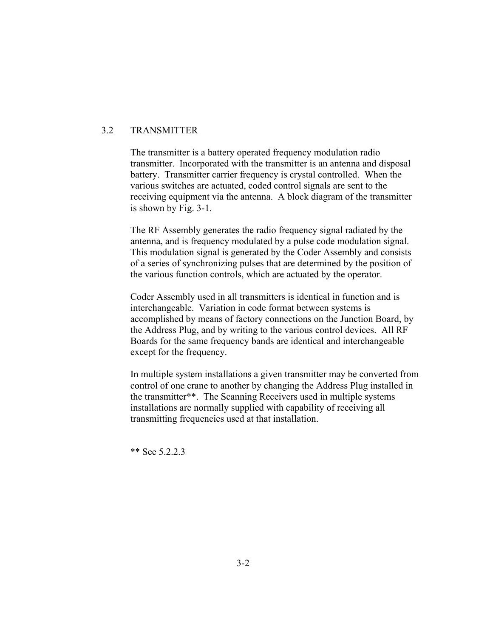# 3.2 TRANSMITTER

The transmitter is a battery operated frequency modulation radio transmitter. Incorporated with the transmitter is an antenna and disposal battery. Transmitter carrier frequency is crystal controlled. When the various switches are actuated, coded control signals are sent to the receiving equipment via the antenna. A block diagram of the transmitter is shown by Fig. 3-1.

The RF Assembly generates the radio frequency signal radiated by the antenna, and is frequency modulated by a pulse code modulation signal. This modulation signal is generated by the Coder Assembly and consists of a series of synchronizing pulses that are determined by the position of the various function controls, which are actuated by the operator.

Coder Assembly used in all transmitters is identical in function and is interchangeable. Variation in code format between systems is accomplished by means of factory connections on the Junction Board, by the Address Plug, and by writing to the various control devices. All RF Boards for the same frequency bands are identical and interchangeable except for the frequency.

In multiple system installations a given transmitter may be converted from control of one crane to another by changing the Address Plug installed in the transmitter\*\*. The Scanning Receivers used in multiple systems installations are normally supplied with capability of receiving all transmitting frequencies used at that installation.

\*\* See 5.2.2.3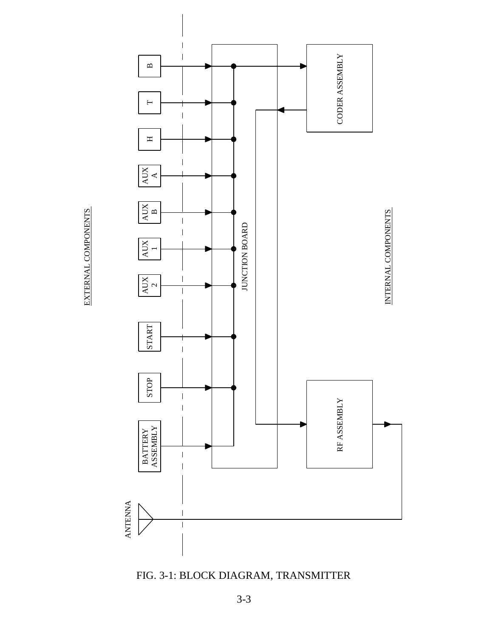EXTERNAL COMPONENTS EXTERNAL COMPONENTS



FIG. 3-1: BLOCK DIAGRAM, TRANSMITTER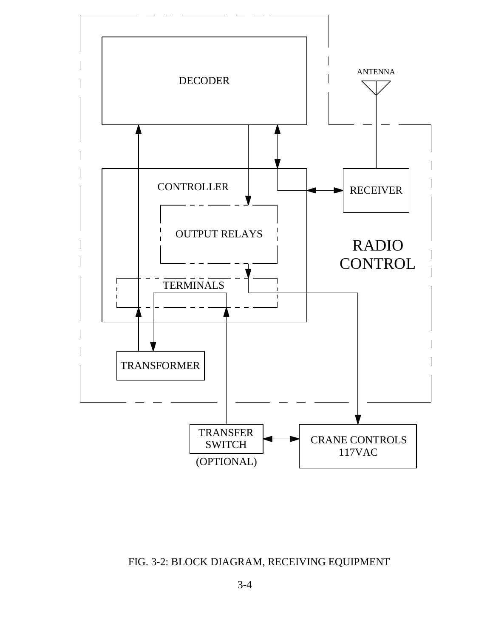

FIG. 3-2: BLOCK DIAGRAM, RECEIVING EQUIPMENT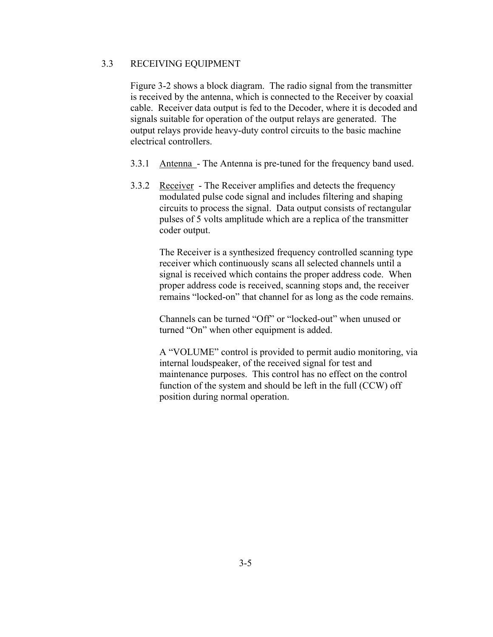# 3.3 RECEIVING EQUIPMENT

Figure 3-2 shows a block diagram. The radio signal from the transmitter is received by the antenna, which is connected to the Receiver by coaxial cable. Receiver data output is fed to the Decoder, where it is decoded and signals suitable for operation of the output relays are generated. The output relays provide heavy-duty control circuits to the basic machine electrical controllers.

- 3.3.1 Antenna The Antenna is pre-tuned for the frequency band used.
- 3.3.2 Receiver The Receiver amplifies and detects the frequency modulated pulse code signal and includes filtering and shaping circuits to process the signal. Data output consists of rectangular pulses of 5 volts amplitude which are a replica of the transmitter coder output.

The Receiver is a synthesized frequency controlled scanning type receiver which continuously scans all selected channels until a signal is received which contains the proper address code. When proper address code is received, scanning stops and, the receiver remains "locked-on" that channel for as long as the code remains.

Channels can be turned "Off" or "locked-out" when unused or turned "On" when other equipment is added.

A "VOLUME" control is provided to permit audio monitoring, via internal loudspeaker, of the received signal for test and maintenance purposes. This control has no effect on the control function of the system and should be left in the full (CCW) off position during normal operation.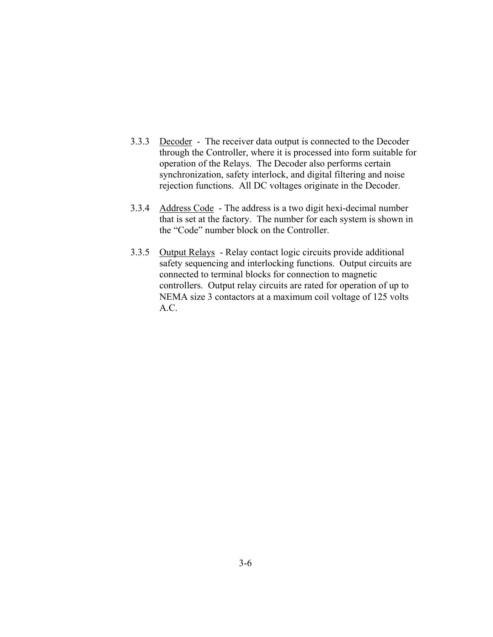- 3.3.3 Decoder The receiver data output is connected to the Decoder through the Controller, where it is processed into form suitable for operation of the Relays. The Decoder also performs certain synchronization, safety interlock, and digital filtering and noise rejection functions. All DC voltages originate in the Decoder.
- 3.3.4 Address Code The address is a two digit hexi-decimal number that is set at the factory. The number for each system is shown in the "Code" number block on the Controller.
- 3.3.5 Output Relays Relay contact logic circuits provide additional safety sequencing and interlocking functions. Output circuits are connected to terminal blocks for connection to magnetic controllers. Output relay circuits are rated for operation of up to NEMA size 3 contactors at a maximum coil voltage of 125 volts A.C.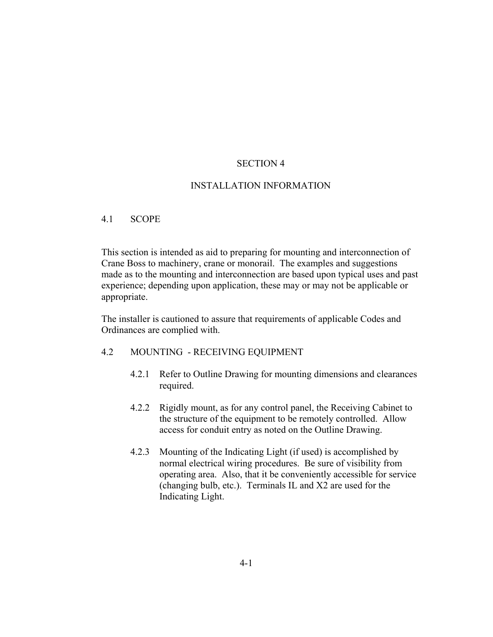# SECTION 4

# INSTALLATION INFORMATION

#### 4.1 SCOPE

This section is intended as aid to preparing for mounting and interconnection of Crane Boss to machinery, crane or monorail. The examples and suggestions made as to the mounting and interconnection are based upon typical uses and past experience; depending upon application, these may or may not be applicable or appropriate.

The installer is cautioned to assure that requirements of applicable Codes and Ordinances are complied with.

#### 4.2 MOUNTING - RECEIVING EQUIPMENT

- 4.2.1 Refer to Outline Drawing for mounting dimensions and clearances required.
- 4.2.2 Rigidly mount, as for any control panel, the Receiving Cabinet to the structure of the equipment to be remotely controlled. Allow access for conduit entry as noted on the Outline Drawing.
- 4.2.3 Mounting of the Indicating Light (if used) is accomplished by normal electrical wiring procedures. Be sure of visibility from operating area. Also, that it be conveniently accessible for service (changing bulb, etc.). Terminals IL and X2 are used for the Indicating Light.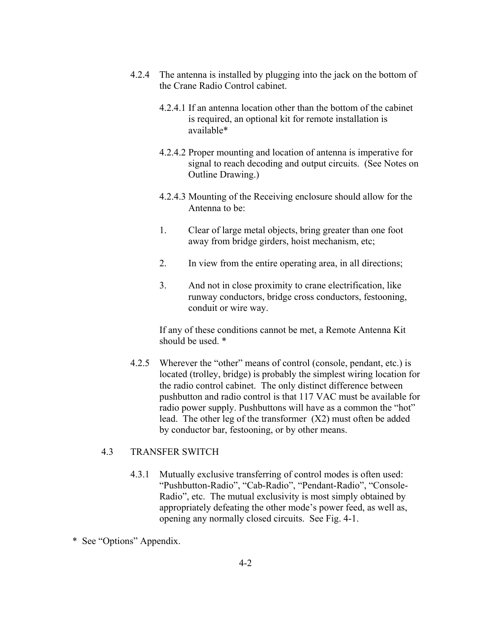- 4.2.4 The antenna is installed by plugging into the jack on the bottom of the Crane Radio Control cabinet.
	- 4.2.4.1 If an antenna location other than the bottom of the cabinet is required, an optional kit for remote installation is available\*
	- 4.2.4.2 Proper mounting and location of antenna is imperative for signal to reach decoding and output circuits. (See Notes on Outline Drawing.)
	- 4.2.4.3 Mounting of the Receiving enclosure should allow for the Antenna to be:
	- 1. Clear of large metal objects, bring greater than one foot away from bridge girders, hoist mechanism, etc;
	- 2. In view from the entire operating area, in all directions;
	- 3. And not in close proximity to crane electrification, like runway conductors, bridge cross conductors, festooning, conduit or wire way.

If any of these conditions cannot be met, a Remote Antenna Kit should be used. \*

4.2.5 Wherever the "other" means of control (console, pendant, etc.) is located (trolley, bridge) is probably the simplest wiring location for the radio control cabinet. The only distinct difference between pushbutton and radio control is that 117 VAC must be available for radio power supply. Pushbuttons will have as a common the "hot" lead. The other leg of the transformer (X2) must often be added by conductor bar, festooning, or by other means.

## 4.3 TRANSFER SWITCH

- 4.3.1 Mutually exclusive transferring of control modes is often used: "Pushbutton-Radio", "Cab-Radio", "Pendant-Radio", "Console-Radio", etc. The mutual exclusivity is most simply obtained by appropriately defeating the other mode's power feed, as well as, opening any normally closed circuits. See Fig. 4-1.
- \* See "Options" Appendix.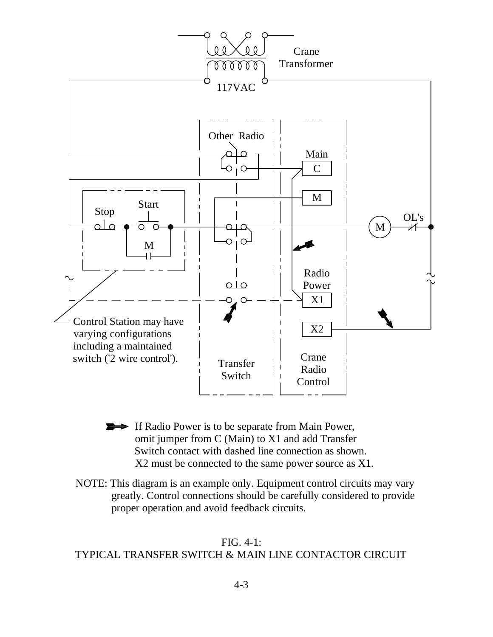

- If Radio Power is to be separate from Main Power, omit jumper from C (Main) to X1 and add Transfer Switch contact with dashed line connection as shown. X2 must be connected to the same power source as X1.
- NOTE: This diagram is an example only. Equipment control circuits may vary greatly. Control connections should be carefully considered to provide proper operation and avoid feedback circuits.

# FIG. 4-1: TYPICAL TRANSFER SWITCH & MAIN LINE CONTACTOR CIRCUIT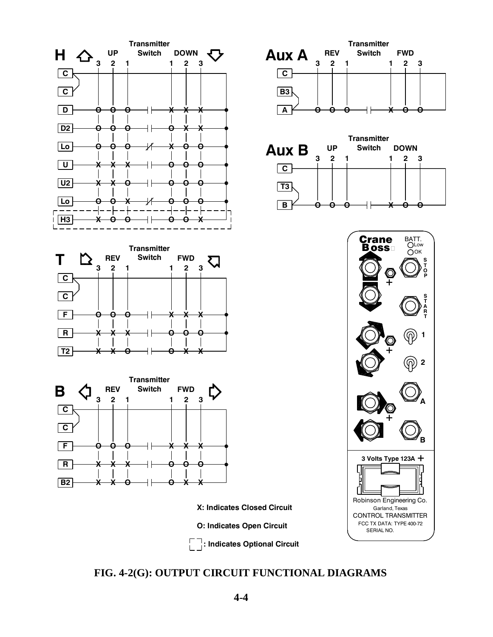

**R**

**T S A**

OK BATT.<br>Olow

**3**

**1 2**

**S**

**P O T**

**T**

**2**

**1**

**B**

**A**

**FIG. 4-2(G): OUTPUT CIRCUIT FUNCTIONAL DIAGRAMS**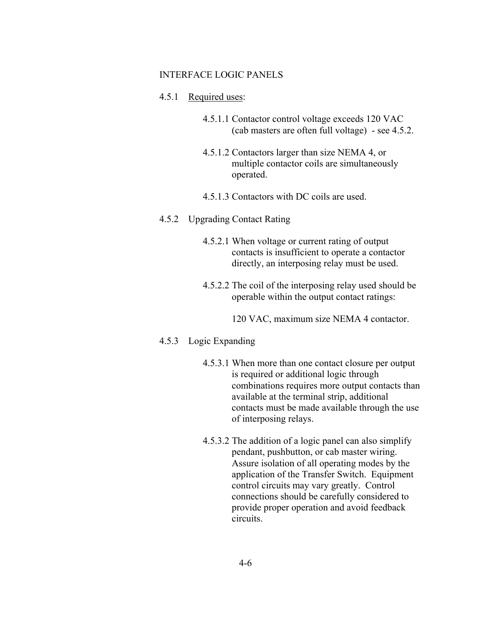#### INTERFACE LOGIC PANELS

#### 4.5.1 Required uses:

- 4.5.1.1 Contactor control voltage exceeds 120 VAC (cab masters are often full voltage) - see 4.5.2.
- 4.5.1.2 Contactors larger than size NEMA 4, or multiple contactor coils are simultaneously operated.
- 4.5.1.3 Contactors with DC coils are used.
- 4.5.2 Upgrading Contact Rating
	- 4.5.2.1 When voltage or current rating of output contacts is insufficient to operate a contactor directly, an interposing relay must be used.
	- 4.5.2.2 The coil of the interposing relay used should be operable within the output contact ratings:
		- 120 VAC, maximum size NEMA 4 contactor.

#### 4.5.3 Logic Expanding

- 4.5.3.1 When more than one contact closure per output is required or additional logic through combinations requires more output contacts than available at the terminal strip, additional contacts must be made available through the use of interposing relays.
- 4.5.3.2 The addition of a logic panel can also simplify pendant, pushbutton, or cab master wiring. Assure isolation of all operating modes by the application of the Transfer Switch. Equipment control circuits may vary greatly. Control connections should be carefully considered to provide proper operation and avoid feedback circuits.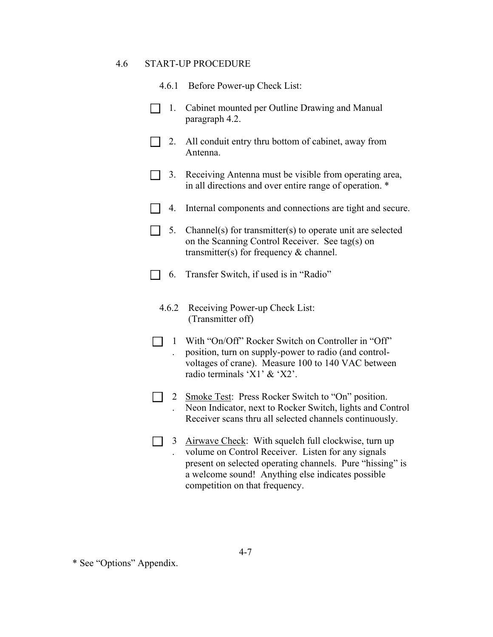#### 4.6 START-UP PROCEDURE

- 4.6.1 Before Power-up Check List:
- 1. Cabinet mounted per Outline Drawing and Manual paragraph 4.2.
- 2. All conduit entry thru bottom of cabinet, away from Antenna.
- 3. Receiving Antenna must be visible from operating area, in all directions and over entire range of operation. \*
- 4. Internal components and connections are tight and secure.
- $\Box$  5. Channel(s) for transmitter(s) to operate unit are selected on the Scanning Control Receiver. See tag(s) on transmitter(s) for frequency & channel.
- $\Box$  6. Transfer Switch, if used is in "Radio"
	- 4.6.2 Receiving Power-up Check List: (Transmitter off)
	- 1 With "On/Off" Rocker Switch on Controller in "Off" . position, turn on supply-power to radio (and controlvoltages of crane). Measure 100 to 140 VAC between radio terminals 'X1' & 'X2'.
	- 2 Smoke Test: Press Rocker Switch to "On" position. . Neon Indicator, next to Rocker Switch, lights and Control Receiver scans thru all selected channels continuously.
	- 3 Airwave Check: With squelch full clockwise, turn up . volume on Control Receiver. Listen for any signals present on selected operating channels. Pure "hissing" is a welcome sound! Anything else indicates possible competition on that frequency.

<sup>\*</sup> See "Options" Appendix.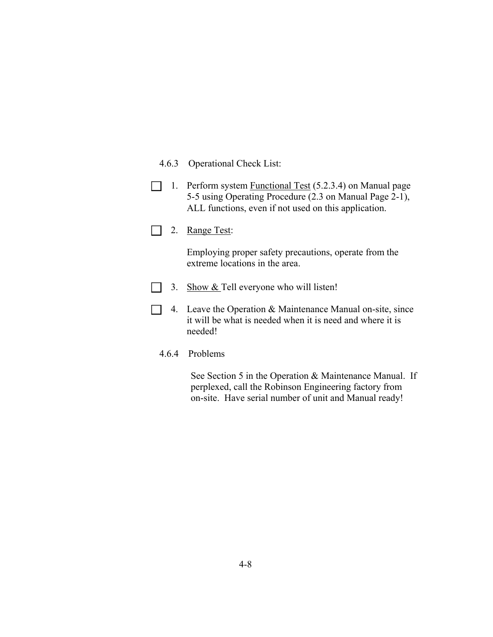- 4.6.3 Operational Check List:
- 1. Perform system Functional Test (5.2.3.4) on Manual page 5-5 using Operating Procedure (2.3 on Manual Page 2-1), ALL functions, even if not used on this application.
- 2. Range Test:

Employing proper safety precautions, operate from the extreme locations in the area.

- 3. Show  $&$  Tell everyone who will listen!
- 4. Leave the Operation  $\&$  Maintenance Manual on-site, since it will be what is needed when it is need and where it is needed!
	- 4.6.4 Problems

 See Section 5 in the Operation & Maintenance Manual. If perplexed, call the Robinson Engineering factory from on-site. Have serial number of unit and Manual ready!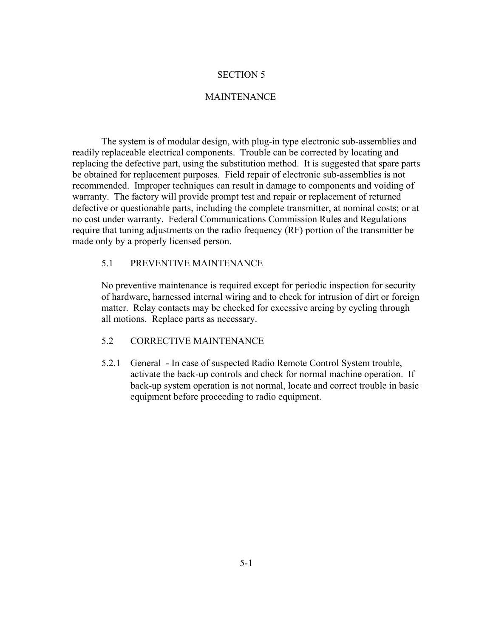#### SECTION 5

# **MAINTENANCE**

 The system is of modular design, with plug-in type electronic sub-assemblies and readily replaceable electrical components. Trouble can be corrected by locating and replacing the defective part, using the substitution method. It is suggested that spare parts be obtained for replacement purposes. Field repair of electronic sub-assemblies is not recommended. Improper techniques can result in damage to components and voiding of warranty. The factory will provide prompt test and repair or replacement of returned defective or questionable parts, including the complete transmitter, at nominal costs; or at no cost under warranty. Federal Communications Commission Rules and Regulations require that tuning adjustments on the radio frequency (RF) portion of the transmitter be made only by a properly licensed person.

### 5.1 PREVENTIVE MAINTENANCE

No preventive maintenance is required except for periodic inspection for security of hardware, harnessed internal wiring and to check for intrusion of dirt or foreign matter. Relay contacts may be checked for excessive arcing by cycling through all motions. Replace parts as necessary.

## 5.2 CORRECTIVE MAINTENANCE

5.2.1 General - In case of suspected Radio Remote Control System trouble, activate the back-up controls and check for normal machine operation. If back-up system operation is not normal, locate and correct trouble in basic equipment before proceeding to radio equipment.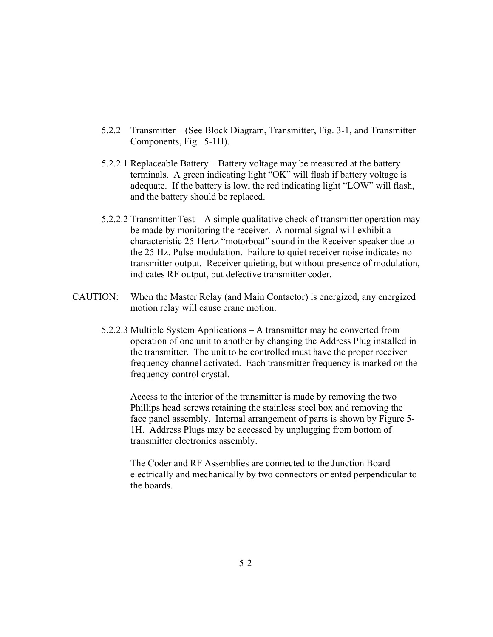- 5.2.2 Transmitter (See Block Diagram, Transmitter, Fig. 3-1, and Transmitter Components, Fig. 5-1H).
- $5.2.2.1$  Replaceable Battery Battery voltage may be measured at the battery terminals. A green indicating light "OK" will flash if battery voltage is adequate. If the battery is low, the red indicating light "LOW" will flash, and the battery should be replaced.
- 5.2.2.2 Transmitter Test  $A$  simple qualitative check of transmitter operation may be made by monitoring the receiver. A normal signal will exhibit a characteristic 25-Hertz "motorboat" sound in the Receiver speaker due to the 25 Hz. Pulse modulation. Failure to quiet receiver noise indicates no transmitter output. Receiver quieting, but without presence of modulation, indicates RF output, but defective transmitter coder.
- CAUTION: When the Master Relay (and Main Contactor) is energized, any energized motion relay will cause crane motion.
	- 5.2.2.3 Multiple System Applications  $-$  A transmitter may be converted from operation of one unit to another by changing the Address Plug installed in the transmitter. The unit to be controlled must have the proper receiver frequency channel activated. Each transmitter frequency is marked on the frequency control crystal.

Access to the interior of the transmitter is made by removing the two Phillips head screws retaining the stainless steel box and removing the face panel assembly. Internal arrangement of parts is shown by Figure 5- 1H. Address Plugs may be accessed by unplugging from bottom of transmitter electronics assembly.

The Coder and RF Assemblies are connected to the Junction Board electrically and mechanically by two connectors oriented perpendicular to the boards.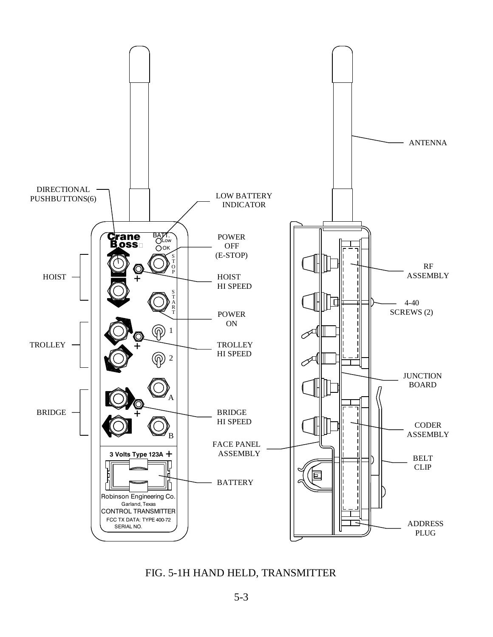

FIG. 5-1H HAND HELD, TRANSMITTER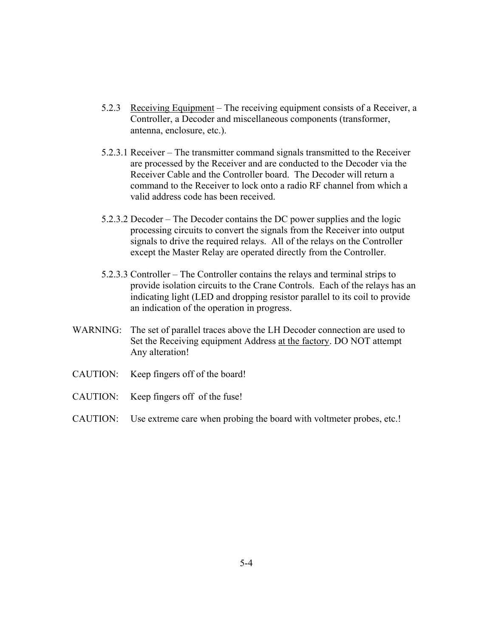- 5.2.3 Receiving Equipment The receiving equipment consists of a Receiver, a Controller, a Decoder and miscellaneous components (transformer, antenna, enclosure, etc.).
- $5.2.3.1$  Receiver The transmitter command signals transmitted to the Receiver are processed by the Receiver and are conducted to the Decoder via the Receiver Cable and the Controller board. The Decoder will return a command to the Receiver to lock onto a radio RF channel from which a valid address code has been received.
- $5.2.3.2$  Decoder The Decoder contains the DC power supplies and the logic processing circuits to convert the signals from the Receiver into output signals to drive the required relays. All of the relays on the Controller except the Master Relay are operated directly from the Controller.
- $5.2.3.3$  Controller The Controller contains the relays and terminal strips to provide isolation circuits to the Crane Controls. Each of the relays has an indicating light (LED and dropping resistor parallel to its coil to provide an indication of the operation in progress.
- WARNING: The set of parallel traces above the LH Decoder connection are used to Set the Receiving equipment Address at the factory. DO NOT attempt Any alteration!
- CAUTION: Keep fingers off of the board!
- CAUTION: Keep fingers off of the fuse!
- CAUTION: Use extreme care when probing the board with voltmeter probes, etc.!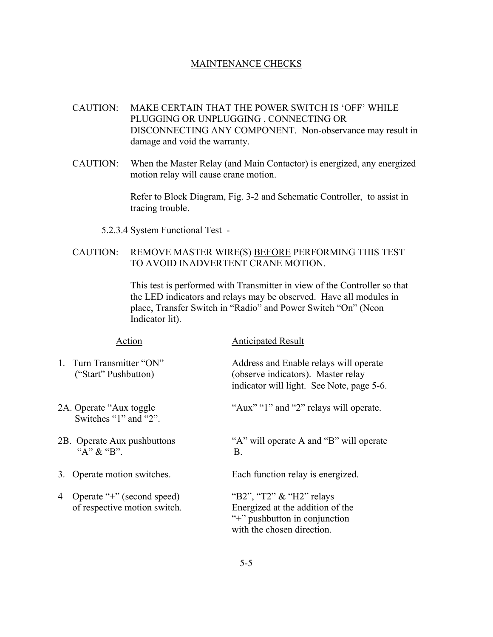#### MAINTENANCE CHECKS

- CAUTION: MAKE CERTAIN THAT THE POWER SWITCH IS 'OFF' WHILE PLUGGING OR UNPLUGGING , CONNECTING OR DISCONNECTING ANY COMPONENT. Non-observance may result in damage and void the warranty.
- CAUTION: When the Master Relay (and Main Contactor) is energized, any energized motion relay will cause crane motion.

Refer to Block Diagram, Fig. 3-2 and Schematic Controller, to assist in tracing trouble.

5.2.3.4 System Functional Test -

# CAUTION: REMOVE MASTER WIRE(S) BEFORE PERFORMING THIS TEST TO AVOID INADVERTENT CRANE MOTION.

This test is performed with Transmitter in view of the Controller so that the LED indicators and relays may be observed. Have all modules in place, Transfer Switch in "Radio" and Power Switch "On" (Neon Indicator lit).

| Action                                                          | <b>Anticipated Result</b>                                                                                                      |
|-----------------------------------------------------------------|--------------------------------------------------------------------------------------------------------------------------------|
| 1. Turn Transmitter "ON"<br>("Start" Pushbutton)                | Address and Enable relays will operate<br>(observe indicators). Master relay<br>indicator will light. See Note, page 5-6.      |
| 2A. Operate "Aux toggle"<br>Switches "1" and "2".               | "Aux" "1" and "2" relays will operate.                                                                                         |
| 2B. Operate Aux pushbuttons<br>"A" $\&$ "B".                    | "A" will operate A and "B" will operate<br><b>B.</b>                                                                           |
| 3. Operate motion switches.                                     | Each function relay is energized.                                                                                              |
| Operate "+" (second speed)<br>4<br>of respective motion switch. | "B2", "T2" $\&$ "H2" relays<br>Energized at the addition of the<br>"+" pushbutton in conjunction<br>with the chosen direction. |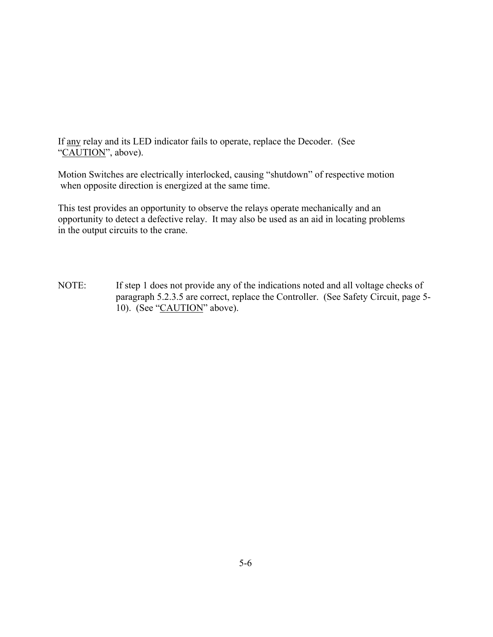If any relay and its LED indicator fails to operate, replace the Decoder. (See "CAUTION", above).

Motion Switches are electrically interlocked, causing "shutdown" of respective motion when opposite direction is energized at the same time.

This test provides an opportunity to observe the relays operate mechanically and an opportunity to detect a defective relay. It may also be used as an aid in locating problems in the output circuits to the crane.

NOTE: If step 1 does not provide any of the indications noted and all voltage checks of paragraph 5.2.3.5 are correct, replace the Controller. (See Safety Circuit, page 5- 10). (See "CAUTION" above).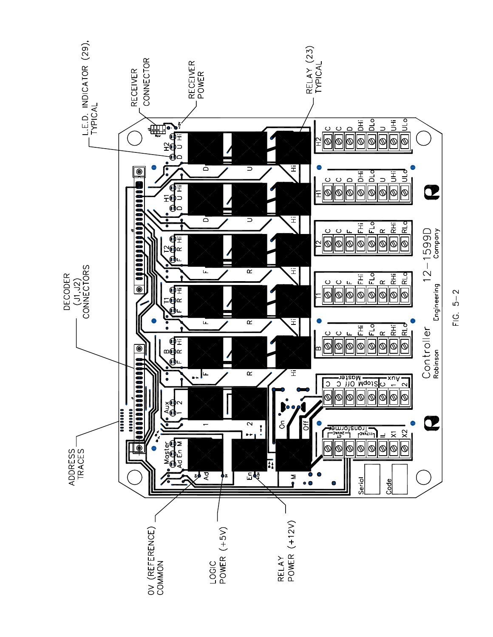

 $FIG. 5-2$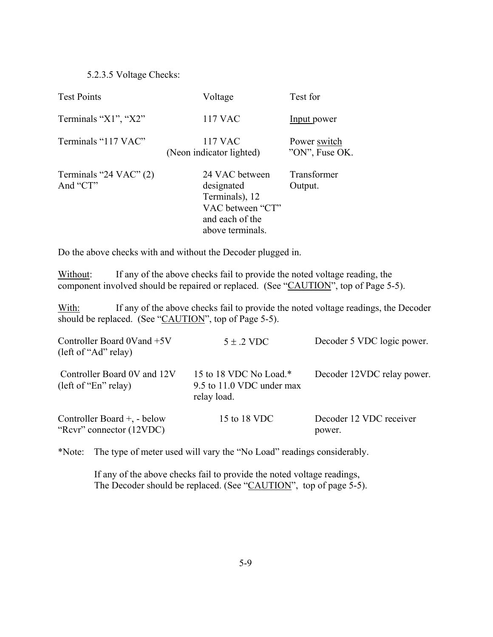5.2.3.5 Voltage Checks:

| <b>Test Points</b>                   | Voltage                                                                                                   | Test for                       |
|--------------------------------------|-----------------------------------------------------------------------------------------------------------|--------------------------------|
| Terminals "X1", "X2"                 | <b>117 VAC</b>                                                                                            | Input power                    |
| Terminals "117 VAC"                  | 117 VAC<br>(Neon indicator lighted)                                                                       | Power switch<br>"ON", Fuse OK. |
| Terminals "24 VAC" $(2)$<br>And "CT" | 24 VAC between<br>designated<br>Terminals), 12<br>VAC between "CT"<br>and each of the<br>above terminals. | Transformer<br>Output.         |

Do the above checks with and without the Decoder plugged in.

Without: If any of the above checks fail to provide the noted voltage reading, the component involved should be repaired or replaced. (See "CAUTION", top of Page 5-5).

With: If any of the above checks fail to provide the noted voltage readings, the Decoder should be replaced. (See " $CAUTION$ ", top of Page 5-5).

| Controller Board 0Vand +5V<br>(left of "Ad" relay)      | $5 \pm .2$ VDC                                                     | Decoder 5 VDC logic power.        |
|---------------------------------------------------------|--------------------------------------------------------------------|-----------------------------------|
| Controller Board 0V and 12V<br>(left of "En" relay)     | 15 to 18 VDC No Load.*<br>9.5 to 11.0 VDC under max<br>relay load. | Decoder 12VDC relay power.        |
| Controller Board +, - below<br>"Revr" connector (12VDC) | 15 to 18 VDC                                                       | Decoder 12 VDC receiver<br>power. |

\*Note: The type of meter used will vary the "No Load" readings considerably.

 If any of the above checks fail to provide the noted voltage readings, The Decoder should be replaced. (See "CAUTION", top of page 5-5).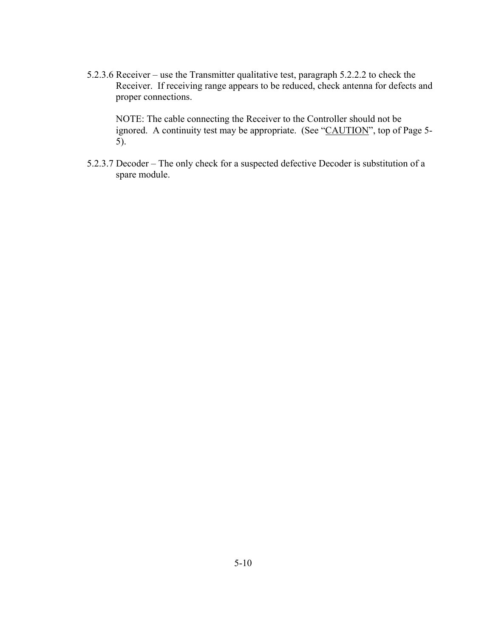5.2.3.6 Receiver – use the Transmitter qualitative test, paragraph  $5.2.2.2$  to check the Receiver. If receiving range appears to be reduced, check antenna for defects and proper connections.

NOTE: The cable connecting the Receiver to the Controller should not be ignored. A continuity test may be appropriate. (See "CAUTION", top of Page 5-5).

5.2.3.7 Decoder  $-$  The only check for a suspected defective Decoder is substitution of a spare module.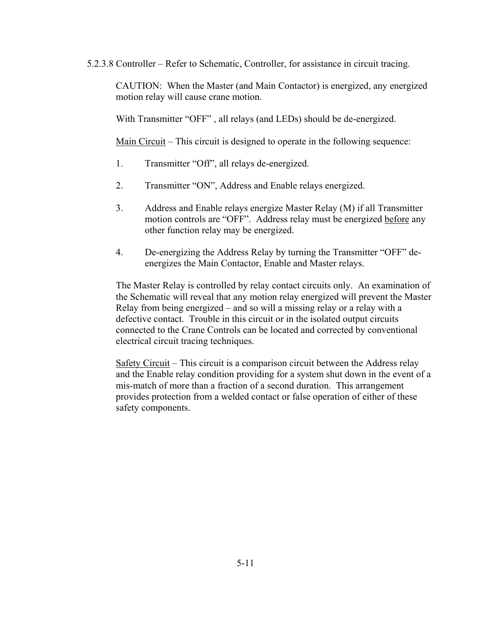5.2.3.8 Controller – Refer to Schematic, Controller, for assistance in circuit tracing.

CAUTION: When the Master (and Main Contactor) is energized, any energized motion relay will cause crane motion.

With Transmitter "OFF", all relays (and LEDs) should be de-energized.

Main Circuit  $-$  This circuit is designed to operate in the following sequence:

- 1. Transmitter "Off", all relays de-energized.
- 2. Transmitter "ON", Address and Enable relays energized.
- 3. Address and Enable relays energize Master Relay (M) if all Transmitter motion controls are "OFF". Address relay must be energized before any other function relay may be energized.
- 4. De-energizing the Address Relay by turning the Transmitter "OFF" deenergizes the Main Contactor, Enable and Master relays.

The Master Relay is controlled by relay contact circuits only. An examination of the Schematic will reveal that any motion relay energized will prevent the Master Relay from being energized  $-$  and so will a missing relay or a relay with a defective contact. Trouble in this circuit or in the isolated output circuits connected to the Crane Controls can be located and corrected by conventional electrical circuit tracing techniques.

Safety Circuit  $-$  This circuit is a comparison circuit between the Address relay and the Enable relay condition providing for a system shut down in the event of a mis-match of more than a fraction of a second duration. This arrangement provides protection from a welded contact or false operation of either of these safety components.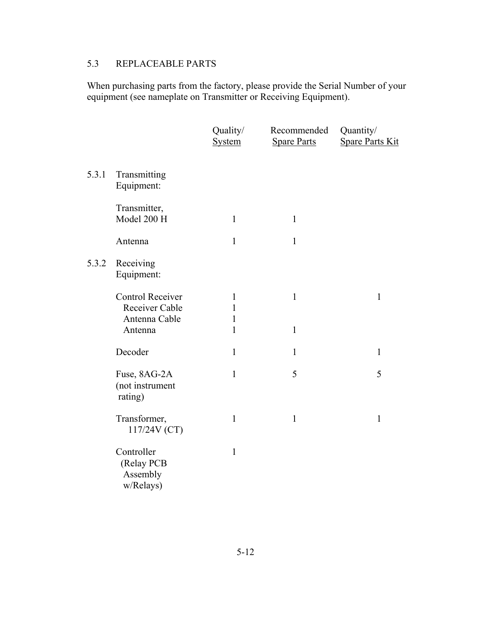# 5.3 REPLACEABLE PARTS

When purchasing parts from the factory, please provide the Serial Number of your equipment (see nameplate on Transmitter or Receiving Equipment).

|       |                                                                | Quality/<br><b>System</b>                         | Recommended<br><b>Spare Parts</b> | Quantity/<br><b>Spare Parts Kit</b> |
|-------|----------------------------------------------------------------|---------------------------------------------------|-----------------------------------|-------------------------------------|
| 5.3.1 | Transmitting<br>Equipment:                                     |                                                   |                                   |                                     |
|       | Transmitter,<br>Model 200 H                                    | $\mathbf{1}$                                      | $\mathbf{1}$                      |                                     |
|       | Antenna                                                        | $\mathbf{1}$                                      | $\mathbf{1}$                      |                                     |
| 5.3.2 | Receiving<br>Equipment:                                        |                                                   |                                   |                                     |
|       | Control Receiver<br>Receiver Cable<br>Antenna Cable<br>Antenna | $\mathbf{1}$<br>1<br>$\mathbf{1}$<br>$\mathbf{1}$ | $\mathbf{1}$<br>$\mathbf{1}$      | $\mathbf{1}$                        |
|       | Decoder                                                        | $\mathbf{1}$                                      | $\mathbf{1}$                      | $\mathbf{1}$                        |
|       | Fuse, 8AG-2A<br>(not instrument<br>rating)                     | $\mathbf{1}$                                      | 5                                 | 5                                   |
|       | Transformer,<br>117/24V (CT)                                   | $\mathbf{1}$                                      | $\mathbf{1}$                      | $\mathbf{1}$                        |
|       | Controller<br>(Relay PCB<br>Assembly<br>w/Relays)              | $\mathbf{1}$                                      |                                   |                                     |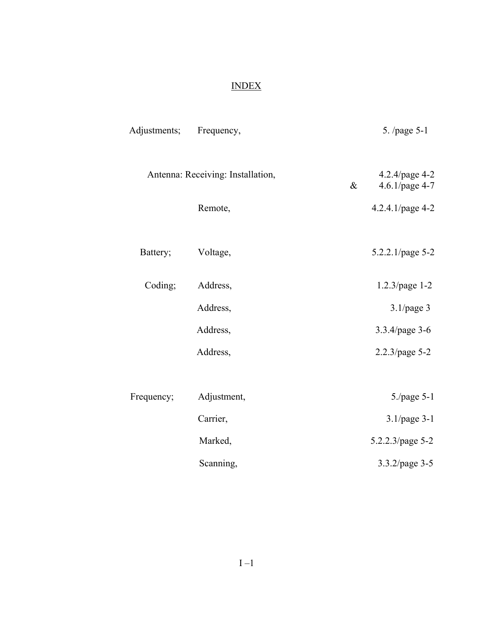# INDEX

| Adjustments; | Frequency,                        |      | 5. /page 5-1                     |
|--------------|-----------------------------------|------|----------------------------------|
|              | Antenna: Receiving: Installation, | $\&$ | 4.2.4/page 4-2<br>4.6.1/page 4-7 |
|              | Remote,                           |      | 4.2.4.1/page 4-2                 |
| Battery;     | Voltage,                          |      | 5.2.2.1/page 5-2                 |
| Coding;      | Address,                          |      | 1.2.3/page 1-2                   |
|              | Address,                          |      | $3.1$ /page 3                    |
|              | Address,                          |      | 3.3.4/page 3-6                   |
|              | Address,                          |      | 2.2.3/page 5-2                   |
|              |                                   |      |                                  |
| Frequency;   | Adjustment,                       |      | 5./page 5-1                      |
|              | Carrier,                          |      | 3.1/page 3-1                     |
|              | Marked,                           |      | 5.2.2.3/page 5-2                 |
|              | Scanning,                         |      | 3.3.2/page 3-5                   |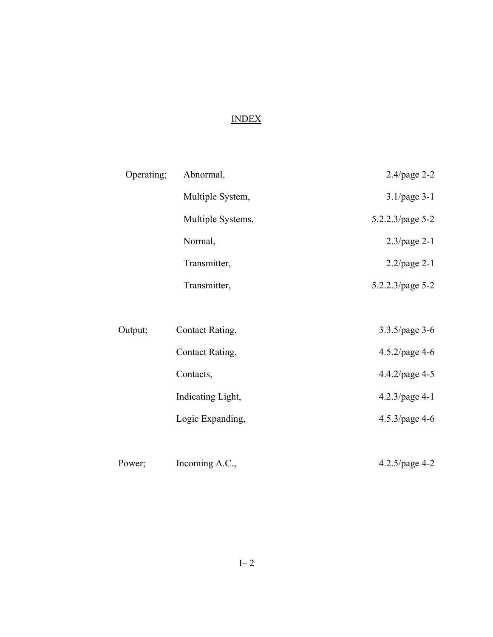# INDEX

| Operating; | Abnormal,         | 2.4/page 2-2      |
|------------|-------------------|-------------------|
|            | Multiple System,  | $3.1$ /page 3-1   |
|            | Multiple Systems, | 5.2.2.3/page 5-2  |
|            | Normal,           | $2.3$ /page 2-1   |
|            | Transmitter,      | $2.2$ /page 2-1   |
|            | Transmitter,      | 5.2.2.3/page 5-2  |
|            |                   |                   |
| Output;    | Contact Rating,   | 3.3.5/page 3-6    |
|            | Contact Rating,   | 4.5.2/page 4-6    |
|            | Contacts,         | 4.4.2/page 4-5    |
|            | Indicating Light, | 4.2.3/page 4-1    |
|            | Logic Expanding,  | $4.5.3$ /page 4-6 |
|            |                   |                   |

| Power; | Incoming A.C., | $4.2.5$ /page 4-2 |
|--------|----------------|-------------------|
|--------|----------------|-------------------|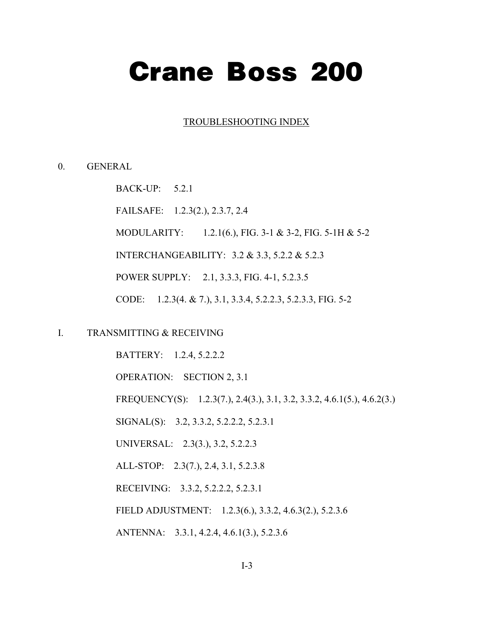# **Crane Boss 200**

#### TROUBLESHOOTING INDEX

#### 0. GENERAL

BACK-UP: 5.2.1

FAILSAFE: 1.2.3(2.), 2.3.7, 2.4

MODULARITY: 1.2.1(6.), FIG. 3-1 & 3-2, FIG. 5-1H & 5-2

INTERCHANGEABILITY: 3.2 & 3.3, 5.2.2 & 5.2.3

POWER SUPPLY: 2.1, 3.3.3, FIG. 4-1, 5.2.3.5

CODE: 1.2.3(4. & 7.), 3.1, 3.3.4, 5.2.2.3, 5.2.3.3, FIG. 5-2

I. TRANSMITTING & RECEIVING

 BATTERY: 1.2.4, 5.2.2.2 OPERATION: SECTION 2, 3.1 FREQUENCY(S): 1.2.3(7.), 2.4(3.), 3.1, 3.2, 3.3.2, 4.6.1(5.), 4.6.2(3.) SIGNAL(S): 3.2, 3.3.2, 5.2.2.2, 5.2.3.1 UNIVERSAL: 2.3(3.), 3.2, 5.2.2.3 ALL-STOP: 2.3(7.), 2.4, 3.1, 5.2.3.8 RECEIVING: 3.3.2, 5.2.2.2, 5.2.3.1 FIELD ADJUSTMENT: 1.2.3(6.), 3.3.2, 4.6.3(2.), 5.2.3.6 ANTENNA: 3.3.1, 4.2.4, 4.6.1(3.), 5.2.3.6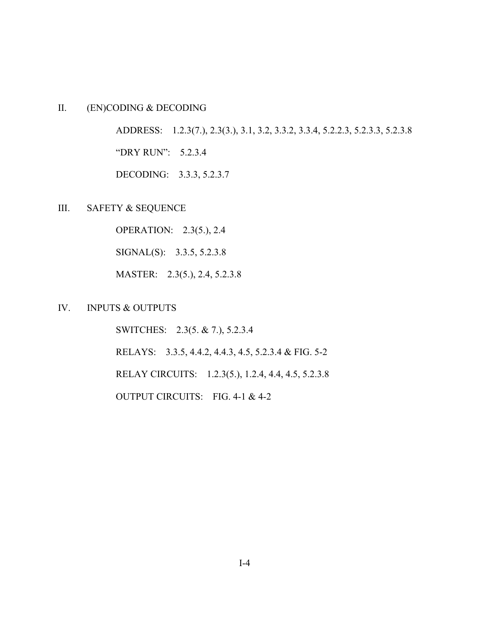# II. (EN)CODING & DECODING

 ADDRESS: 1.2.3(7.), 2.3(3.), 3.1, 3.2, 3.3.2, 3.3.4, 5.2.2.3, 5.2.3.3, 5.2.3.8 "DRY RUN": 5.2.3.4

DECODING: 3.3.3, 5.2.3.7

III. SAFETY & SEQUENCE

OPERATION: 2.3(5.), 2.4

SIGNAL(S): 3.3.5, 5.2.3.8

MASTER: 2.3(5.), 2.4, 5.2.3.8

#### IV. INPUTS & OUTPUTS

 SWITCHES: 2.3(5. & 7.), 5.2.3.4 RELAYS: 3.3.5, 4.4.2, 4.4.3, 4.5, 5.2.3.4 & FIG. 5-2 RELAY CIRCUITS: 1.2.3(5.), 1.2.4, 4.4, 4.5, 5.2.3.8 OUTPUT CIRCUITS: FIG. 4-1 & 4-2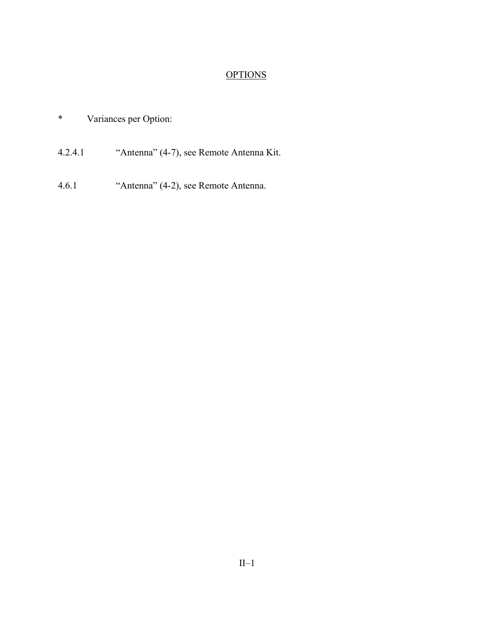# **OPTIONS**

- \* Variances per Option:
- 4.2.4.1 <sup>"Antenna</sup>" (4-7), see Remote Antenna Kit.
- 4.6.1 <sup>"Antenna</sup>" (4-2), see Remote Antenna.